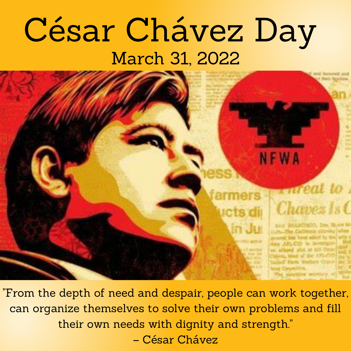#### César Chávez Day March 31, 2022



"From the depth of need and despair, people can work together, can organize themselves to solve their own problems and fill their own needs with dignity and strength." – César Chávez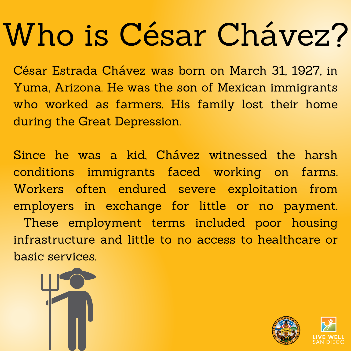## Who is César Chávez?

César Estrada Chávez was born on March 31, 1927, in Yuma, Arizona. He was the son of Mexican immigrants who worked as farmers. His family lost their home during the Great Depression.

Since he was a kid, Chávez witnessed the harsh conditions immigrants faced working on farms. Workers often endured severe exploitation from employers in exchange for little or no payment. These employment terms included poor housing infrastructure and little to no access to healthcare or basic services.



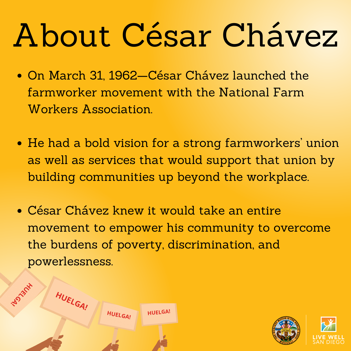# About César Chávez

- On March 31, 1962—César Chávez launched the farmworker movement with the National Farm Workers Association.
- He had a bold vision for a strong farmworkers ' union as well as services that would support that union by building communities up beyond the workplace.
- César Chávez knew it would take an entire movement to empower his community to overcome the burdens of poverty, discrimination, and powerlessness.



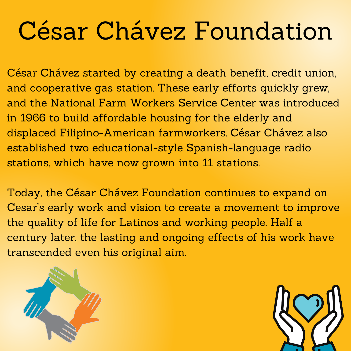### César Chávez Foundation

César Chávez started by creating a death benefit, credit union, and cooperative gas station. These early efforts quickly grew, and the National Farm Workers Service Center was introduced in 1966 to build affordable housing for the elderly and displaced Filipino-American farmworkers. César Chávez also established two educational-style Spanish-language radio stations, which have now grown into 11 stations.

Today, the César Chávez Foundation continues to expand on Cesar ' s early work and vision to create a movement to improve the quality of life for Latinos and working people. Half a century later, the lasting and ongoing effects of his work have transcended even his original aim.



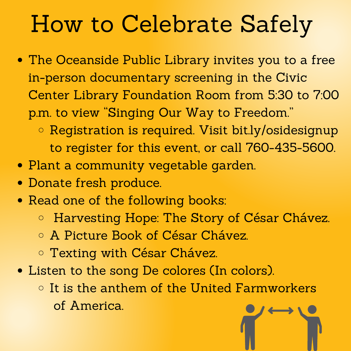#### How to Celebrate Safely

- The Oceanside Public Library invites you to a free in-person documentary screening in the Civic Center Library Foundation Room from 5:30 to 7:00 p.m. to view "Singing Our Way to Freedom."
	- o Registration is required. Visit [bit.ly/osidesignup](https://bit.ly/osidesignup) to register for this event, or call 760-435-5600.
- Plant a community vegetable garden.
- Donate fresh produce.
- Read one of the following books:
	- [Harvesting](https://www.amazon.com/Harvesting-Hope-Story-Cesar-Chavez/dp/0152014373/ref=tmm_hrd_swatch_0?_encoding=UTF8&qid=1630025726&sr=8-1) Hope: The Story of César Chávez[.](https://www.amazon.com/Harvesting-Hope-Story-Cesar-Chavez/dp/0152014373/ref=tmm_hrd_swatch_0?_encoding=UTF8&qid=1630025726&sr=8-1)
	- A Picture Book of César [Chávez](https://www.amazon.com/Picture-Book-Cesar-Chavez-Biography/dp/0823440583/ref=sr_1_2?dchild=1&keywords=cesar+chavez+books+for+kids&qid=1630025726&sr=8-2).
	- [Texting](https://www.amazon.com/Texting-Cesar-Chavez-History/dp/1723968005/ref=sr_1_5?dchild=1&keywords=cesar+chavez+books+for+kids&qid=1630025726&sr=8-5) with César Chávez.
- Listen to the song De [colores](https://www.youtube.com/watch?v=6AFb0lT_YAE) (In colors).
	- $\circ$  It is the anthem of the United Farmworkers of America.